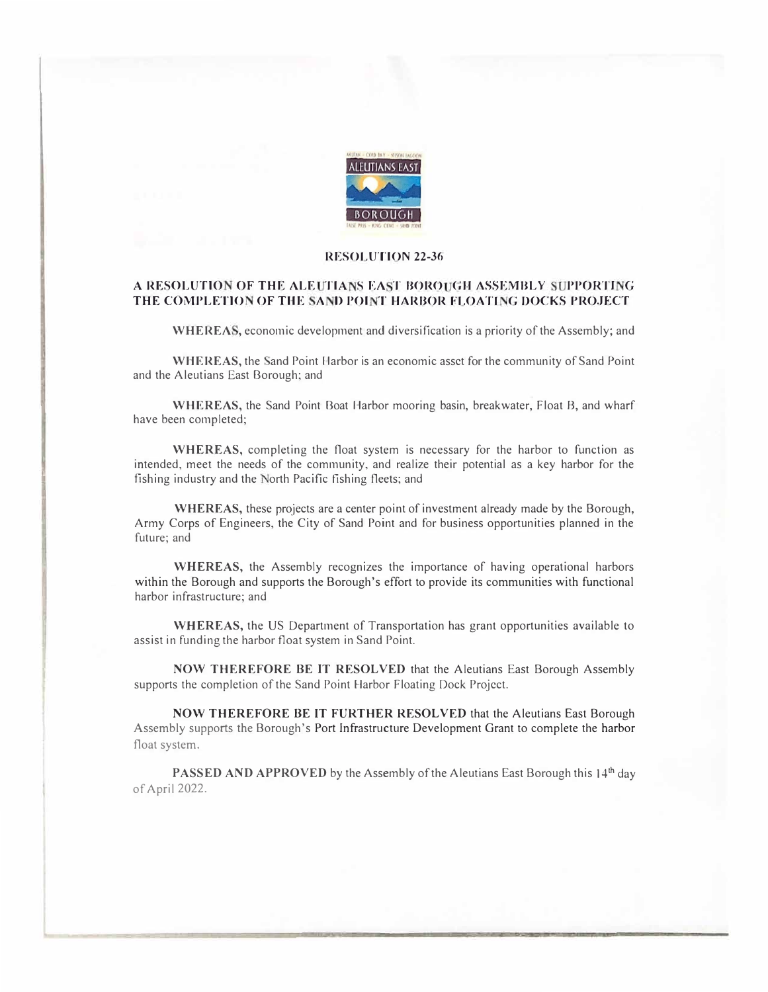

## RESOLUTION 22-36

## A RESOLUTION OF THE ALEUTIANS EAST BOROUGH ASSEMBLY SUPPORTING THE COMPLETION OF THE SAND POINT HARBOR FLOATING DOCKS PROJECT

WHEREAS, economic development and diversification is a priority of the Assembly; and

WHEREAS, the Sand Point Harbor is an economic asset for the community of Sand Point and the Aleutians East Borough; and

WHEREAS, the Sand Point Boat Harbor mooring basin, breakwater, Float B, and wharf have been completed;

WHEREAS, completing the float system is necessary for the harbor to function as intended, meet the needs of the community, and realize their potential as a key harbor for the fishing industry and the North Pacific fishing fleets; and

WHEREAS, these projects are a center point of investment already made by the Borough, Army Corps of Engineers, the City of Sand Point and for business opportunities planned in the future; and

WHEREAS, the Assembly recognizes the importance of having operational harbors within the Borough and supports the Borough's effort to provide its communities with functional harbor infrastructure; and

WHEREAS, the US Department of Transportation has grant opportunities available to assist in funding the harbor float system in Sand Point.

NOW THEREFORE BE IT RESOLVED that the Aleutians East Borough Assembly supports the completion of the Sand Point Harbor Floating Dock Project.

NOW THEREFORE BE IT FURTHER RESOLVED that the Aleutians East Borough Assembly supports the Borough's Port Infrastructure Development Grant to complete the harbor float system.

**PASSED AND APPROVED** by the Assembly of the Aleutians East Borough this  $14<sup>th</sup>$  day of April 2022.